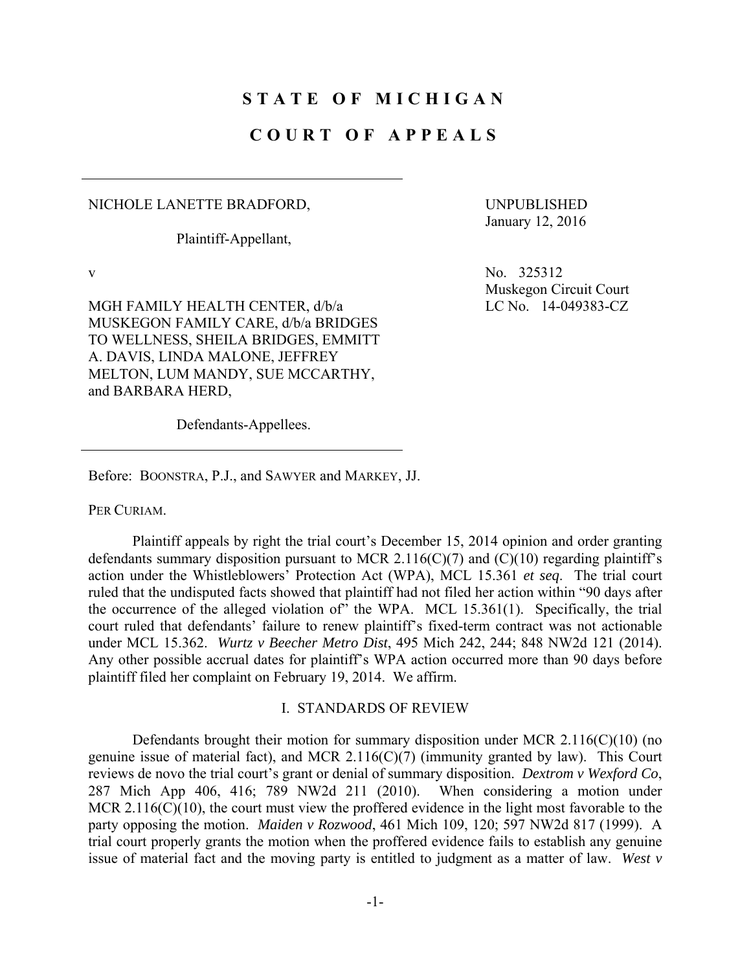# **STATE OF MICHIGAN**

## **COURT OF APPEALS**

### NICHOLE LANETTE BRADFORD,

Plaintiff-Appellant,

UNPUBLISHED January 12, 2016

Muskegon Circuit Court

LC No. 14-049383-CZ

v  $N_0$ ,  $325312$ 

MGH FAMILY HEALTH CENTER, d/b/a MUSKEGON FAMILY CARE, d/b/a BRIDGES TO WELLNESS, SHEILA BRIDGES, EMMITT A. DAVIS, LINDA MALONE, JEFFREY MELTON, LUM MANDY, SUE MCCARTHY, and BARBARA HERD,

Defendants-Appellees.

Before: BOONSTRA, P.J., and SAWYER and MARKEY, JJ.

PER CURIAM.

 Plaintiff appeals by right the trial court's December 15, 2014 opinion and order granting defendants summary disposition pursuant to MCR 2.116(C)(7) and (C)(10) regarding plaintiff's action under the Whistleblowers' Protection Act (WPA), MCL 15.361 *et seq*. The trial court ruled that the undisputed facts showed that plaintiff had not filed her action within "90 days after the occurrence of the alleged violation of" the WPA. MCL 15.361(1). Specifically, the trial court ruled that defendants' failure to renew plaintiff's fixed-term contract was not actionable under MCL 15.362. *Wurtz v Beecher Metro Dist*, 495 Mich 242, 244; 848 NW2d 121 (2014). Any other possible accrual dates for plaintiff's WPA action occurred more than 90 days before plaintiff filed her complaint on February 19, 2014. We affirm.

#### I. STANDARDS OF REVIEW

Defendants brought their motion for summary disposition under MCR  $2.116(C)(10)$  (no genuine issue of material fact), and MCR 2.116(C)(7) (immunity granted by law). This Court reviews de novo the trial court's grant or denial of summary disposition. *Dextrom v Wexford Co*, 287 Mich App 406, 416; 789 NW2d 211 (2010). When considering a motion under MCR 2.116(C)(10), the court must view the proffered evidence in the light most favorable to the party opposing the motion. *Maiden v Rozwood*, 461 Mich 109, 120; 597 NW2d 817 (1999). A trial court properly grants the motion when the proffered evidence fails to establish any genuine issue of material fact and the moving party is entitled to judgment as a matter of law. *West v*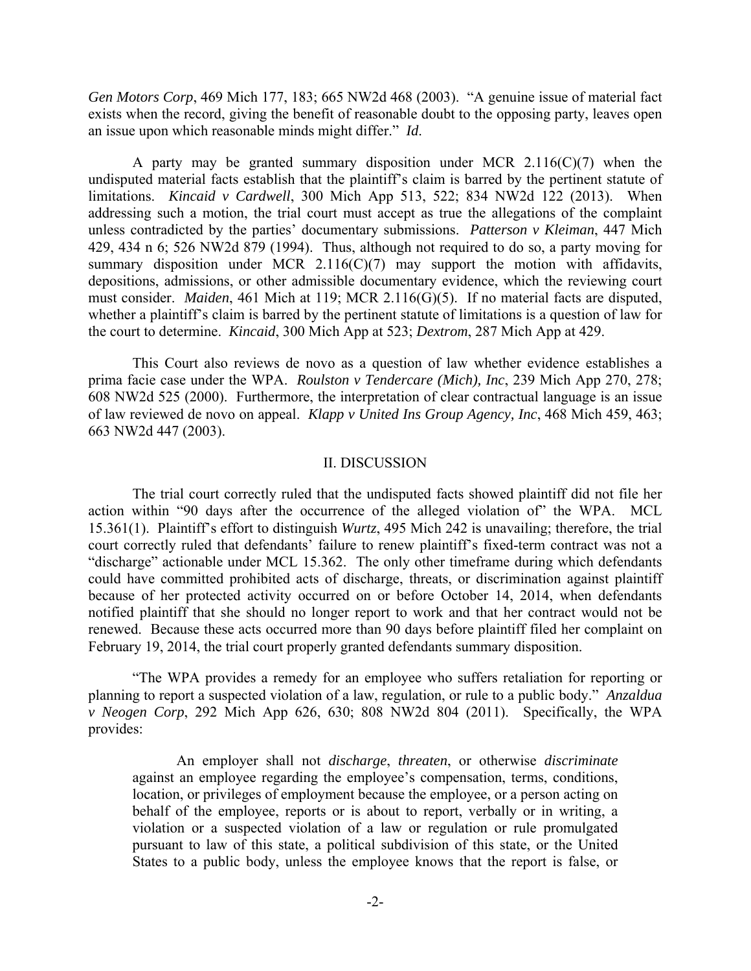*Gen Motors Corp*, 469 Mich 177, 183; 665 NW2d 468 (2003). "A genuine issue of material fact exists when the record, giving the benefit of reasonable doubt to the opposing party, leaves open an issue upon which reasonable minds might differ." *Id*.

 A party may be granted summary disposition under MCR 2.116(C)(7) when the undisputed material facts establish that the plaintiff's claim is barred by the pertinent statute of limitations. *Kincaid v Cardwell*, 300 Mich App 513, 522; 834 NW2d 122 (2013). When addressing such a motion, the trial court must accept as true the allegations of the complaint unless contradicted by the parties' documentary submissions. *Patterson v Kleiman*, 447 Mich 429, 434 n 6; 526 NW2d 879 (1994). Thus, although not required to do so, a party moving for summary disposition under MCR 2.116(C)(7) may support the motion with affidavits, depositions, admissions, or other admissible documentary evidence, which the reviewing court must consider. *Maiden*, 461 Mich at 119; MCR 2.116(G)(5). If no material facts are disputed, whether a plaintiff's claim is barred by the pertinent statute of limitations is a question of law for the court to determine. *Kincaid*, 300 Mich App at 523; *Dextrom*, 287 Mich App at 429.

 This Court also reviews de novo as a question of law whether evidence establishes a prima facie case under the WPA. *Roulston v Tendercare (Mich), Inc*, 239 Mich App 270, 278; 608 NW2d 525 (2000). Furthermore, the interpretation of clear contractual language is an issue of law reviewed de novo on appeal. *Klapp v United Ins Group Agency, Inc*, 468 Mich 459, 463; 663 NW2d 447 (2003).

#### II. DISCUSSION

 The trial court correctly ruled that the undisputed facts showed plaintiff did not file her action within "90 days after the occurrence of the alleged violation of" the WPA. MCL 15.361(1). Plaintiff's effort to distinguish *Wurtz*, 495 Mich 242 is unavailing; therefore, the trial court correctly ruled that defendants' failure to renew plaintiff's fixed-term contract was not a "discharge" actionable under MCL 15.362. The only other timeframe during which defendants could have committed prohibited acts of discharge, threats, or discrimination against plaintiff because of her protected activity occurred on or before October 14, 2014, when defendants notified plaintiff that she should no longer report to work and that her contract would not be renewed. Because these acts occurred more than 90 days before plaintiff filed her complaint on February 19, 2014, the trial court properly granted defendants summary disposition.

 "The WPA provides a remedy for an employee who suffers retaliation for reporting or planning to report a suspected violation of a law, regulation, or rule to a public body." *Anzaldua v Neogen Corp*, 292 Mich App 626, 630; 808 NW2d 804 (2011). Specifically, the WPA provides:

 An employer shall not *discharge*, *threaten*, or otherwise *discriminate* against an employee regarding the employee's compensation, terms, conditions, location, or privileges of employment because the employee, or a person acting on behalf of the employee, reports or is about to report, verbally or in writing, a violation or a suspected violation of a law or regulation or rule promulgated pursuant to law of this state, a political subdivision of this state, or the United States to a public body, unless the employee knows that the report is false, or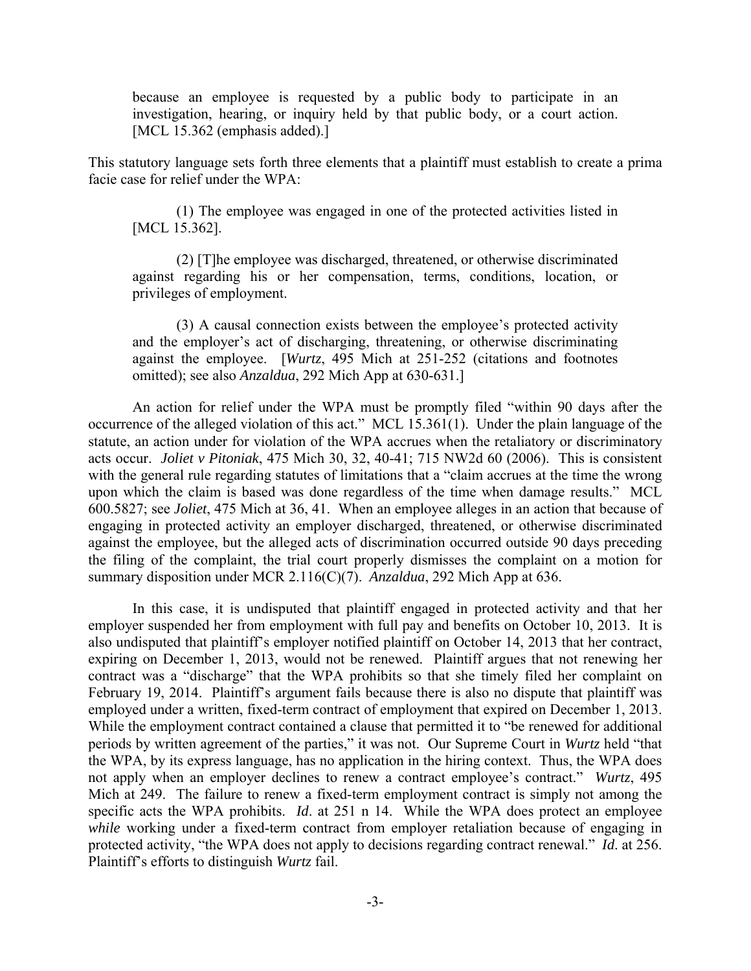because an employee is requested by a public body to participate in an investigation, hearing, or inquiry held by that public body, or a court action. [MCL 15.362 (emphasis added).]

This statutory language sets forth three elements that a plaintiff must establish to create a prima facie case for relief under the WPA:

 (1) The employee was engaged in one of the protected activities listed in [MCL 15.362].

 (2) [T]he employee was discharged, threatened, or otherwise discriminated against regarding his or her compensation, terms, conditions, location, or privileges of employment.

 (3) A causal connection exists between the employee's protected activity and the employer's act of discharging, threatening, or otherwise discriminating against the employee. [*Wurtz*, 495 Mich at 251-252 (citations and footnotes omitted); see also *Anzaldua*, 292 Mich App at 630-631.]

 An action for relief under the WPA must be promptly filed "within 90 days after the occurrence of the alleged violation of this act." MCL 15.361(1). Under the plain language of the statute, an action under for violation of the WPA accrues when the retaliatory or discriminatory acts occur. *Joliet v Pitoniak*, 475 Mich 30, 32, 40-41; 715 NW2d 60 (2006). This is consistent with the general rule regarding statutes of limitations that a "claim accrues at the time the wrong upon which the claim is based was done regardless of the time when damage results." MCL 600.5827; see *Joliet*, 475 Mich at 36, 41. When an employee alleges in an action that because of engaging in protected activity an employer discharged, threatened, or otherwise discriminated against the employee, but the alleged acts of discrimination occurred outside 90 days preceding the filing of the complaint, the trial court properly dismisses the complaint on a motion for summary disposition under MCR 2.116(C)(7). *Anzaldua*, 292 Mich App at 636.

 In this case, it is undisputed that plaintiff engaged in protected activity and that her employer suspended her from employment with full pay and benefits on October 10, 2013. It is also undisputed that plaintiff's employer notified plaintiff on October 14, 2013 that her contract, expiring on December 1, 2013, would not be renewed. Plaintiff argues that not renewing her contract was a "discharge" that the WPA prohibits so that she timely filed her complaint on February 19, 2014. Plaintiff's argument fails because there is also no dispute that plaintiff was employed under a written, fixed-term contract of employment that expired on December 1, 2013. While the employment contract contained a clause that permitted it to "be renewed for additional periods by written agreement of the parties," it was not. Our Supreme Court in *Wurtz* held "that the WPA, by its express language, has no application in the hiring context. Thus, the WPA does not apply when an employer declines to renew a contract employee's contract." *Wurtz*, 495 Mich at 249. The failure to renew a fixed-term employment contract is simply not among the specific acts the WPA prohibits. *Id*. at 251 n 14. While the WPA does protect an employee *while* working under a fixed-term contract from employer retaliation because of engaging in protected activity, "the WPA does not apply to decisions regarding contract renewal." *Id*. at 256. Plaintiff's efforts to distinguish *Wurtz* fail.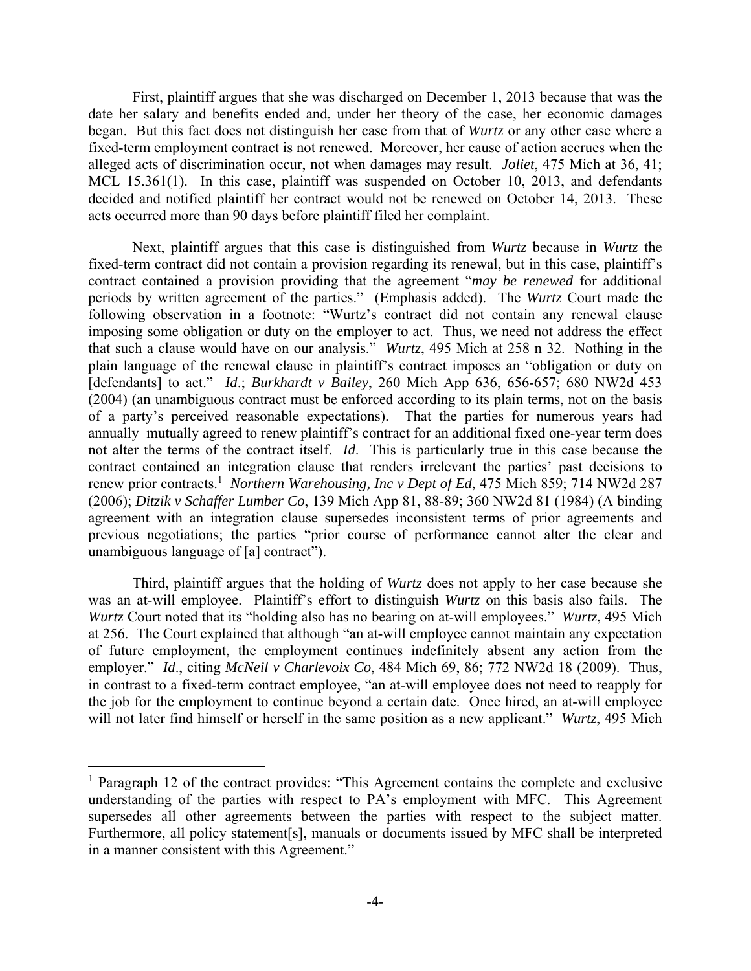First, plaintiff argues that she was discharged on December 1, 2013 because that was the date her salary and benefits ended and, under her theory of the case, her economic damages began. But this fact does not distinguish her case from that of *Wurtz* or any other case where a fixed-term employment contract is not renewed. Moreover, her cause of action accrues when the alleged acts of discrimination occur, not when damages may result. *Joliet*, 475 Mich at 36, 41; MCL 15.361(1). In this case, plaintiff was suspended on October 10, 2013, and defendants decided and notified plaintiff her contract would not be renewed on October 14, 2013. These acts occurred more than 90 days before plaintiff filed her complaint.

 Next, plaintiff argues that this case is distinguished from *Wurtz* because in *Wurtz* the fixed-term contract did not contain a provision regarding its renewal, but in this case, plaintiff's contract contained a provision providing that the agreement "*may be renewed* for additional periods by written agreement of the parties." (Emphasis added). The *Wurtz* Court made the following observation in a footnote: "Wurtz's contract did not contain any renewal clause imposing some obligation or duty on the employer to act. Thus, we need not address the effect that such a clause would have on our analysis." *Wurtz*, 495 Mich at 258 n 32. Nothing in the plain language of the renewal clause in plaintiff's contract imposes an "obligation or duty on [defendants] to act." *Id*.; *Burkhardt v Bailey*, 260 Mich App 636, 656-657; 680 NW2d 453 (2004) (an unambiguous contract must be enforced according to its plain terms, not on the basis of a party's perceived reasonable expectations). That the parties for numerous years had annually mutually agreed to renew plaintiff's contract for an additional fixed one-year term does not alter the terms of the contract itself. *Id*. This is particularly true in this case because the contract contained an integration clause that renders irrelevant the parties' past decisions to renew prior contracts.<sup>1</sup> Northern Warehousing, Inc v Dept of Ed, 475 Mich 859; 714 NW2d 287 (2006); *Ditzik v Schaffer Lumber Co*, 139 Mich App 81, 88-89; 360 NW2d 81 (1984) (A binding agreement with an integration clause supersedes inconsistent terms of prior agreements and previous negotiations; the parties "prior course of performance cannot alter the clear and unambiguous language of [a] contract").

 Third, plaintiff argues that the holding of *Wurtz* does not apply to her case because she was an at-will employee. Plaintiff's effort to distinguish *Wurtz* on this basis also fails. The *Wurtz*, Court noted that its "holding also has no bearing on at-will employees." *Wurtz*, 495 Mich at 256. The Court explained that although "an at-will employee cannot maintain any expectation of future employment, the employment continues indefinitely absent any action from the employer." *Id*., citing *McNeil v Charlevoix Co*, 484 Mich 69, 86; 772 NW2d 18 (2009). Thus, in contrast to a fixed-term contract employee, "an at-will employee does not need to reapply for the job for the employment to continue beyond a certain date. Once hired, an at-will employee will not later find himself or herself in the same position as a new applicant." *Wurtz*, 495 Mich

<u>.</u>

<sup>&</sup>lt;sup>1</sup> Paragraph 12 of the contract provides: "This Agreement contains the complete and exclusive understanding of the parties with respect to PA's employment with MFC. This Agreement supersedes all other agreements between the parties with respect to the subject matter. Furthermore, all policy statement[s], manuals or documents issued by MFC shall be interpreted in a manner consistent with this Agreement."